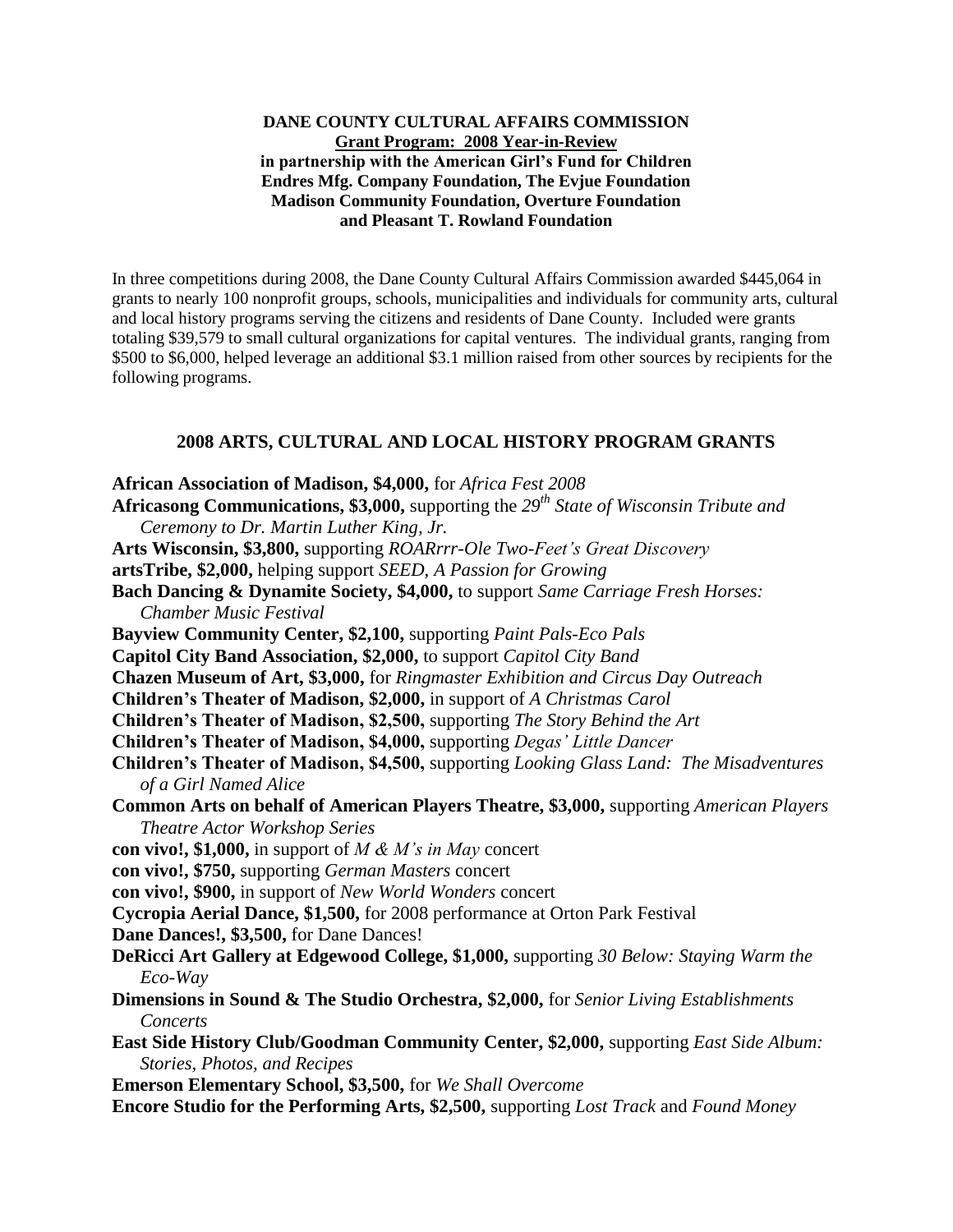#### **DANE COUNTY CULTURAL AFFAIRS COMMISSION Grant Program: 2008 Year-in-Review in partnership with the American Girl's Fund for Children Endres Mfg. Company Foundation, The Evjue Foundation Madison Community Foundation, Overture Foundation and Pleasant T. Rowland Foundation**

In three competitions during 2008, the Dane County Cultural Affairs Commission awarded \$445,064 in grants to nearly 100 nonprofit groups, schools, municipalities and individuals for community arts, cultural and local history programs serving the citizens and residents of Dane County. Included were grants totaling \$39,579 to small cultural organizations for capital ventures. The individual grants, ranging from \$500 to \$6,000, helped leverage an additional \$3.1 million raised from other sources by recipients for the following programs.

## **2008 ARTS, CULTURAL AND LOCAL HISTORY PROGRAM GRANTS**

| African Association of Madison, \$4,000, for Africa Fest 2008                                   |
|-------------------------------------------------------------------------------------------------|
| <b>Africasong Communications, \$3,000,</b> supporting the $29th$ State of Wisconsin Tribute and |
| Ceremony to Dr. Martin Luther King, Jr.                                                         |
| Arts Wisconsin, \$3,800, supporting ROARrrr-Ole Two-Feet's Great Discovery                      |
| artsTribe, \$2,000, helping support SEED, A Passion for Growing                                 |
| Bach Dancing & Dynamite Society, \$4,000, to support Same Carriage Fresh Horses:                |
| <b>Chamber Music Festival</b>                                                                   |
| Bayview Community Center, \$2,100, supporting Paint Pals-Eco Pals                               |
| Capitol City Band Association, \$2,000, to support Capitol City Band                            |
| Chazen Museum of Art, \$3,000, for Ringmaster Exhibition and Circus Day Outreach                |
| Children's Theater of Madison, \$2,000, in support of A Christmas Carol                         |
| Children's Theater of Madison, \$2,500, supporting The Story Behind the Art                     |
| Children's Theater of Madison, \$4,000, supporting Degas' Little Dancer                         |
| Children's Theater of Madison, \$4,500, supporting Looking Glass Land: The Misadventures        |
| of a Girl Named Alice                                                                           |
| Common Arts on behalf of American Players Theatre, \$3,000, supporting American Players         |
| <b>Theatre Actor Workshop Series</b>                                                            |
| con vivo!, \$1,000, in support of $M \& M's$ in May concert                                     |
| con vivo!, \$750, supporting German Masters concert                                             |
| con vivo!, \$900, in support of New World Wonders concert                                       |
| Cycropia Aerial Dance, \$1,500, for 2008 performance at Orton Park Festival                     |
| Dane Dances!, \$3,500, for Dane Dances!                                                         |
| DeRicci Art Gallery at Edgewood College, \$1,000, supporting 30 Below: Staying Warm the         |
| Eco-Way                                                                                         |
| Dimensions in Sound & The Studio Orchestra, \$2,000, for Senior Living Establishments           |
| Concerts                                                                                        |
| East Side History Club/Goodman Community Center, \$2,000, supporting East Side Album:           |
| Stories, Photos, and Recipes                                                                    |
| Emerson Elementary School, \$3,500, for We Shall Overcome                                       |
| Encore Studio for the Performing Arts, \$2,500, supporting Lost Track and Found Money           |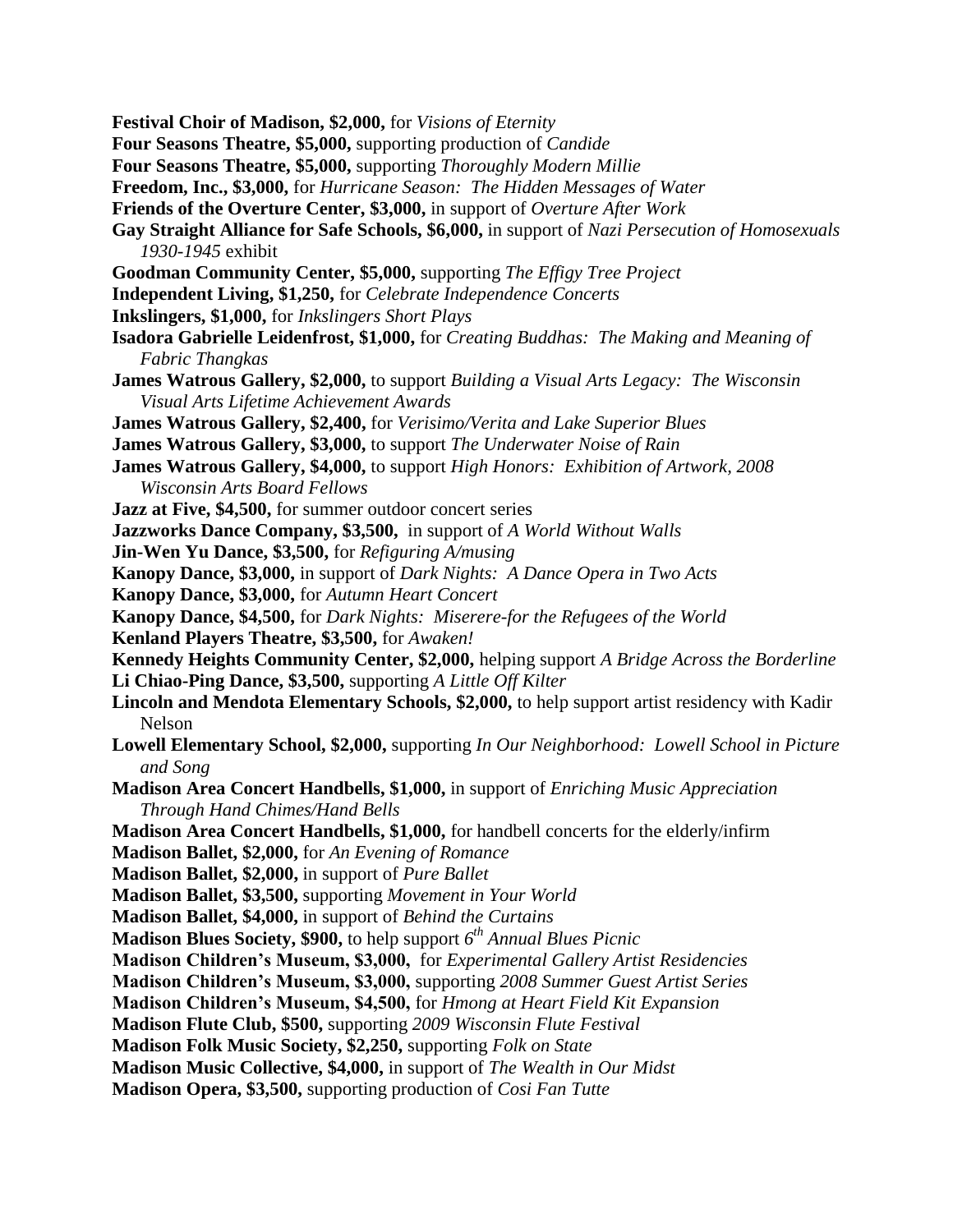- **Festival Choir of Madison, \$2,000,** for *Visions of Eternity*
- **Four Seasons Theatre, \$5,000,** supporting production of *Candide*
- **Four Seasons Theatre, \$5,000,** supporting *Thoroughly Modern Millie*
- **Freedom, Inc., \$3,000,** for *Hurricane Season: The Hidden Messages of Water*
- **Friends of the Overture Center, \$3,000,** in support of *Overture After Work*
- **Gay Straight Alliance for Safe Schools, \$6,000,** in support of *Nazi Persecution of Homosexuals 1930-1945* exhibit
- **Goodman Community Center, \$5,000,** supporting *The Effigy Tree Project*
- **Independent Living, \$1,250,** for *Celebrate Independence Concerts*
- **Inkslingers, \$1,000,** for *Inkslingers Short Plays*
- **Isadora Gabrielle Leidenfrost, \$1,000,** for *Creating Buddhas: The Making and Meaning of Fabric Thangkas*
- **James Watrous Gallery, \$2,000,** to support *Building a Visual Arts Legacy: The Wisconsin Visual Arts Lifetime Achievement Awards*
- **James Watrous Gallery, \$2,400,** for *Verisimo/Verita and Lake Superior Blues*
- **James Watrous Gallery, \$3,000,** to support *The Underwater Noise of Rain*
- **James Watrous Gallery, \$4,000,** to support *High Honors: Exhibition of Artwork, 2008 Wisconsin Arts Board Fellows*
- **Jazz at Five, \$4,500,** for summer outdoor concert series
- **Jazzworks Dance Company, \$3,500,** in support of *A World Without Walls*
- **Jin-Wen Yu Dance, \$3,500,** for *Refiguring A/musing*
- **Kanopy Dance, \$3,000,** in support of *Dark Nights: A Dance Opera in Two Acts*
- **Kanopy Dance, \$3,000,** for *Autumn Heart Concert*
- **Kanopy Dance, \$4,500,** for *Dark Nights: Miserere-for the Refugees of the World*
- **Kenland Players Theatre, \$3,500,** for *Awaken!*
- **Kennedy Heights Community Center, \$2,000,** helping support *A Bridge Across the Borderline* **Li Chiao-Ping Dance, \$3,500,** supporting *A Little Off Kilter*
- **Lincoln and Mendota Elementary Schools, \$2,000,** to help support artist residency with Kadir Nelson
- **Lowell Elementary School, \$2,000,** supporting *In Our Neighborhood: Lowell School in Picture and Song*
- **Madison Area Concert Handbells, \$1,000,** in support of *Enriching Music Appreciation Through Hand Chimes/Hand Bells*
- **Madison Area Concert Handbells, \$1,000,** for handbell concerts for the elderly/infirm
- **Madison Ballet, \$2,000,** for *An Evening of Romance*
- **Madison Ballet, \$2,000,** in support of *Pure Ballet*
- **Madison Ballet, \$3,500,** supporting *Movement in Your World*
- **Madison Ballet, \$4,000,** in support of *Behind the Curtains*
- **Madison Blues Society, \$900,** to help support *6 th Annual Blues Picnic*
- **Madison Children's Museum, \$3,000,** for *Experimental Gallery Artist Residencies*
- **Madison Children's Museum, \$3,000,** supporting *2008 Summer Guest Artist Series*
- **Madison Children's Museum, \$4,500,** for *Hmong at Heart Field Kit Expansion*
- **Madison Flute Club, \$500,** supporting *2009 Wisconsin Flute Festival*
- **Madison Folk Music Society, \$2,250,** supporting *Folk on State*
- **Madison Music Collective, \$4,000,** in support of *The Wealth in Our Midst*
- **Madison Opera, \$3,500,** supporting production of *Cosi Fan Tutte*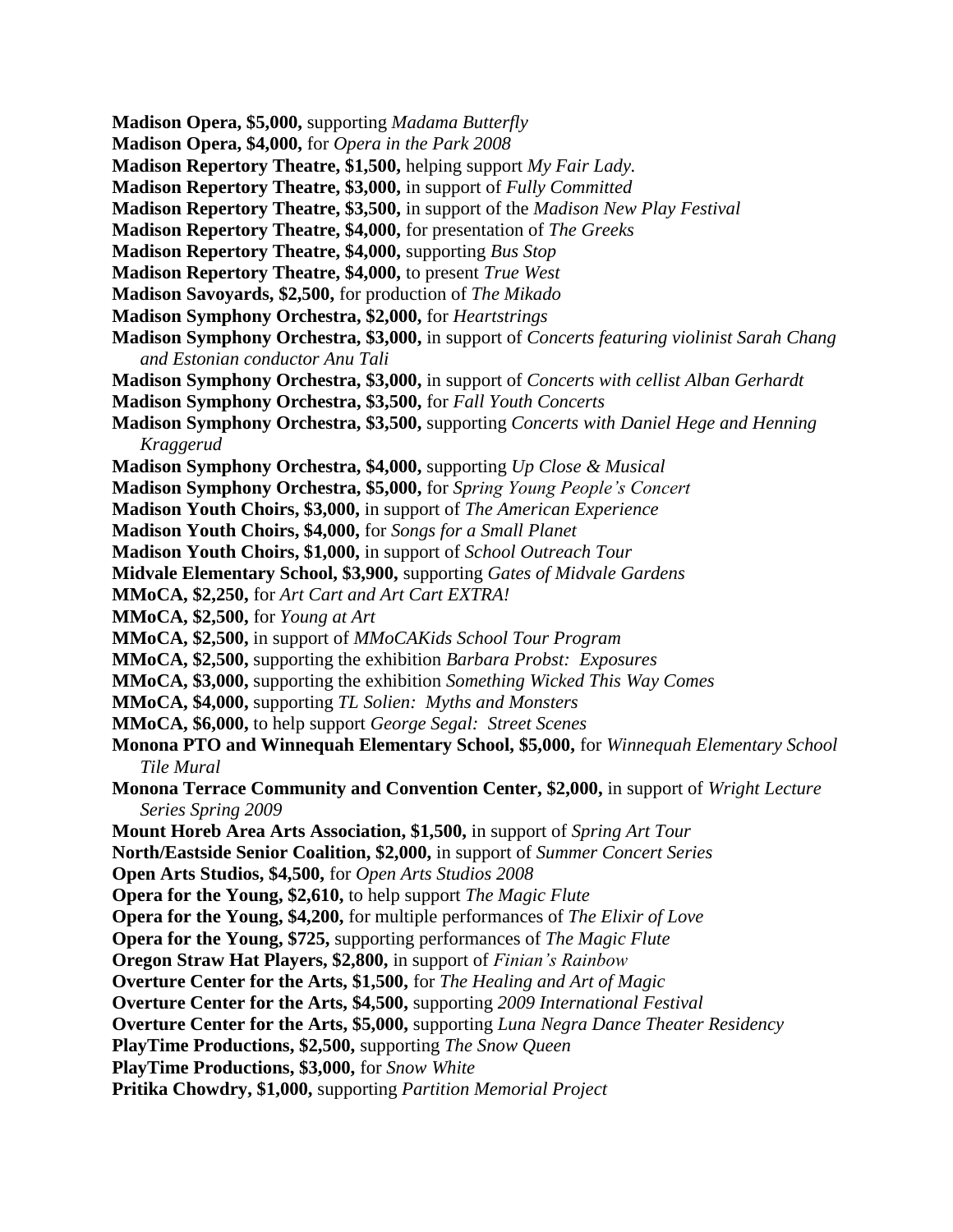- **Madison Opera, \$5,000,** supporting *Madama Butterfly*
- **Madison Opera, \$4,000,** for *Opera in the Park 2008*
- **Madison Repertory Theatre, \$1,500,** helping support *My Fair Lady.*
- **Madison Repertory Theatre, \$3,000,** in support of *Fully Committed*
- **Madison Repertory Theatre, \$3,500,** in support of the *Madison New Play Festival*
- **Madison Repertory Theatre, \$4,000,** for presentation of *The Greeks*
- **Madison Repertory Theatre, \$4,000,** supporting *Bus Stop*
- **Madison Repertory Theatre, \$4,000,** to present *True West*
- **Madison Savoyards, \$2,500,** for production of *The Mikado*
- **Madison Symphony Orchestra, \$2,000,** for *Heartstrings*
- **Madison Symphony Orchestra, \$3,000,** in support of *Concerts featuring violinist Sarah Chang and Estonian conductor Anu Tali*
- **Madison Symphony Orchestra, \$3,000,** in support of *Concerts with cellist Alban Gerhardt*
- **Madison Symphony Orchestra, \$3,500,** for *Fall Youth Concerts*
- **Madison Symphony Orchestra, \$3,500,** supporting *Concerts with Daniel Hege and Henning Kraggerud*
- **Madison Symphony Orchestra, \$4,000,** supporting *Up Close & Musical*
- **Madison Symphony Orchestra, \$5,000,** for *Spring Young People's Concert*
- **Madison Youth Choirs, \$3,000,** in support of *The American Experience*
- **Madison Youth Choirs, \$4,000,** for *Songs for a Small Planet*
- **Madison Youth Choirs, \$1,000,** in support of *School Outreach Tour*
- **Midvale Elementary School, \$3,900,** supporting *Gates of Midvale Gardens*
- **MMoCA, \$2,250,** for *Art Cart and Art Cart EXTRA!*
- **MMoCA, \$2,500,** for *Young at Art*
- **MMoCA, \$2,500,** in support of *MMoCAKids School Tour Program*
- **MMoCA, \$2,500,** supporting the exhibition *Barbara Probst: Exposures*
- **MMoCA, \$3,000,** supporting the exhibition *Something Wicked This Way Comes*
- **MMoCA, \$4,000,** supporting *TL Solien: Myths and Monsters*
- **MMoCA, \$6,000,** to help support *George Segal: Street Scenes*
- **Monona PTO and Winnequah Elementary School, \$5,000,** for *Winnequah Elementary School Tile Mural*
- **Monona Terrace Community and Convention Center, \$2,000,** in support of *Wright Lecture Series Spring 2009*
- **Mount Horeb Area Arts Association, \$1,500,** in support of *Spring Art Tour*
- **North/Eastside Senior Coalition, \$2,000,** in support of *Summer Concert Series*
- **Open Arts Studios, \$4,500,** for *Open Arts Studios 2008*
- **Opera for the Young, \$2,610,** to help support *The Magic Flute*
- **Opera for the Young, \$4,200,** for multiple performances of *The Elixir of Love*
- **Opera for the Young, \$725,** supporting performances of *The Magic Flute*
- **Oregon Straw Hat Players, \$2,800,** in support of *Finian's Rainbow*
- **Overture Center for the Arts, \$1,500,** for *The Healing and Art of Magic*
- **Overture Center for the Arts, \$4,500,** supporting *2009 International Festival*
- **Overture Center for the Arts, \$5,000,** supporting *Luna Negra Dance Theater Residency*
- **PlayTime Productions, \$2,500,** supporting *The Snow Queen*
- **PlayTime Productions, \$3,000,** for *Snow White*
- **Pritika Chowdry, \$1,000,** supporting *Partition Memorial Project*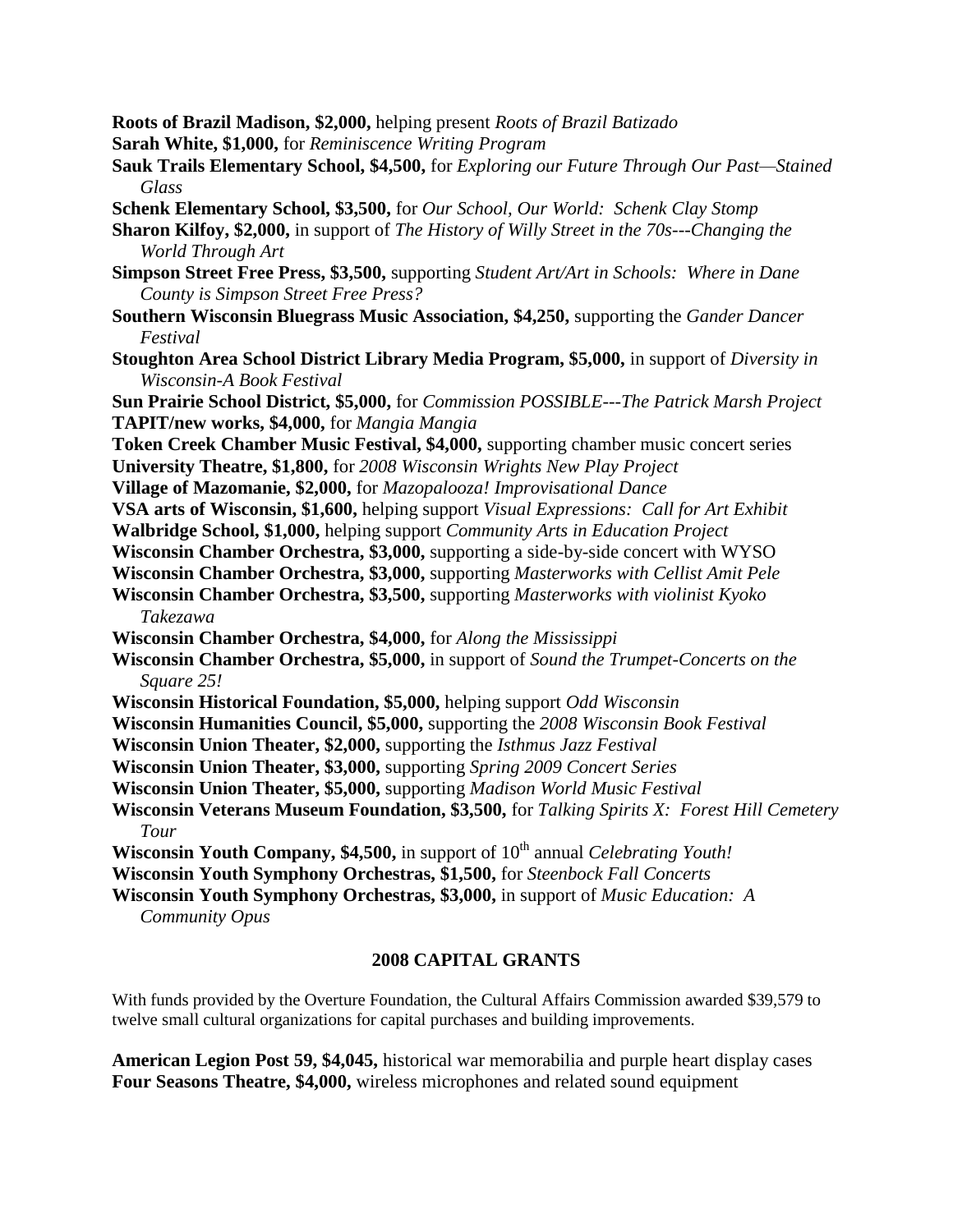**Roots of Brazil Madison, \$2,000,** helping present *Roots of Brazil Batizado*

- **Sarah White, \$1,000,** for *Reminiscence Writing Program*
- **Sauk Trails Elementary School, \$4,500,** for *Exploring our Future Through Our Past—Stained Glass*
- **Schenk Elementary School, \$3,500,** for *Our School, Our World: Schenk Clay Stomp*
- **Sharon Kilfoy, \$2,000,** in support of *The History of Willy Street in the 70s---Changing the World Through Art*
- **Simpson Street Free Press, \$3,500,** supporting *Student Art/Art in Schools: Where in Dane County is Simpson Street Free Press?*
- **Southern Wisconsin Bluegrass Music Association, \$4,250,** supporting the *Gander Dancer Festival*
- **Stoughton Area School District Library Media Program, \$5,000,** in support of *Diversity in Wisconsin-A Book Festival*

**Sun Prairie School District, \$5,000,** for *Commission POSSIBLE---The Patrick Marsh Project* **TAPIT/new works, \$4,000,** for *Mangia Mangia*

- **Token Creek Chamber Music Festival, \$4,000,** supporting chamber music concert series
- **University Theatre, \$1,800,** for *2008 Wisconsin Wrights New Play Project*
- **Village of Mazomanie, \$2,000,** for *Mazopalooza! Improvisational Dance*
- **VSA arts of Wisconsin, \$1,600,** helping support *Visual Expressions: Call for Art Exhibit*
- **Walbridge School, \$1,000,** helping support *Community Arts in Education Project*
- **Wisconsin Chamber Orchestra, \$3,000,** supporting a side-by-side concert with WYSO
- **Wisconsin Chamber Orchestra, \$3,000,** supporting *Masterworks with Cellist Amit Pele*
- **Wisconsin Chamber Orchestra, \$3,500,** supporting *Masterworks with violinist Kyoko Takezawa*
- **Wisconsin Chamber Orchestra, \$4,000,** for *Along the Mississippi*
- **Wisconsin Chamber Orchestra, \$5,000,** in support of *Sound the Trumpet-Concerts on the Square 25!*
- **Wisconsin Historical Foundation, \$5,000,** helping support *Odd Wisconsin*
- **Wisconsin Humanities Council, \$5,000,** supporting the *2008 Wisconsin Book Festival*
- **Wisconsin Union Theater, \$2,000,** supporting the *Isthmus Jazz Festival*
- **Wisconsin Union Theater, \$3,000,** supporting *Spring 2009 Concert Series*
- **Wisconsin Union Theater, \$5,000,** supporting *Madison World Music Festival*
- **Wisconsin Veterans Museum Foundation, \$3,500,** for *Talking Spirits X: Forest Hill Cemetery Tour*
- **Wisconsin Youth Company, \$4,500,** in support of 10<sup>th</sup> annual *Celebrating Youth!*
- **Wisconsin Youth Symphony Orchestras, \$1,500,** for *Steenbock Fall Concerts*

**Wisconsin Youth Symphony Orchestras, \$3,000,** in support of *Music Education: A Community Opus*

#### **2008 CAPITAL GRANTS**

With funds provided by the Overture Foundation, the Cultural Affairs Commission awarded \$39,579 to twelve small cultural organizations for capital purchases and building improvements.

**American Legion Post 59, \$4,045,** historical war memorabilia and purple heart display cases **Four Seasons Theatre, \$4,000,** wireless microphones and related sound equipment